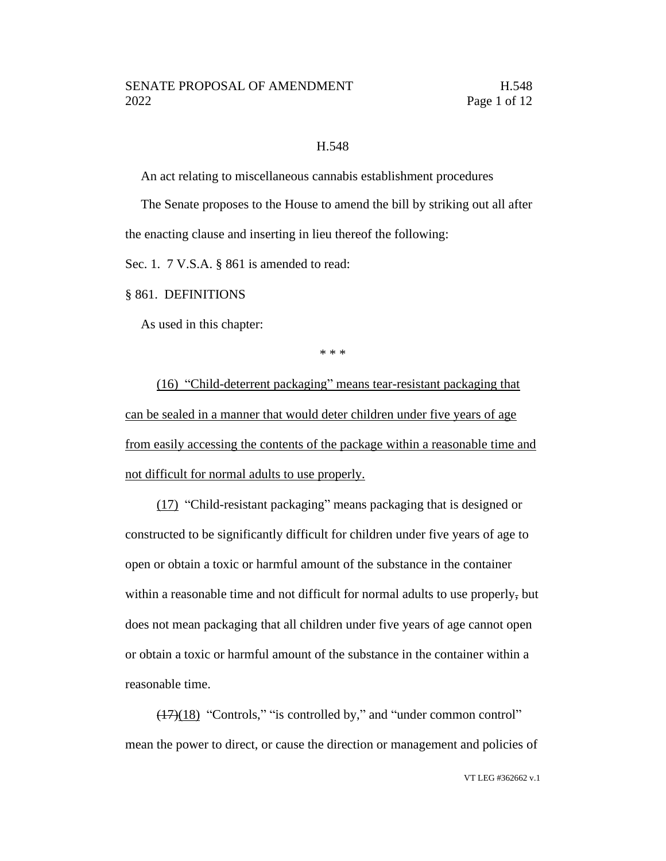### H.548

An act relating to miscellaneous cannabis establishment procedures

The Senate proposes to the House to amend the bill by striking out all after the enacting clause and inserting in lieu thereof the following:

Sec. 1. 7 V.S.A. § 861 is amended to read:

§ 861. DEFINITIONS

As used in this chapter:

\* \* \*

(16) "Child-deterrent packaging" means tear-resistant packaging that can be sealed in a manner that would deter children under five years of age from easily accessing the contents of the package within a reasonable time and not difficult for normal adults to use properly.

(17) "Child-resistant packaging" means packaging that is designed or constructed to be significantly difficult for children under five years of age to open or obtain a toxic or harmful amount of the substance in the container within a reasonable time and not difficult for normal adults to use properly, but does not mean packaging that all children under five years of age cannot open or obtain a toxic or harmful amount of the substance in the container within a reasonable time.

(17)(18) "Controls," "is controlled by," and "under common control" mean the power to direct, or cause the direction or management and policies of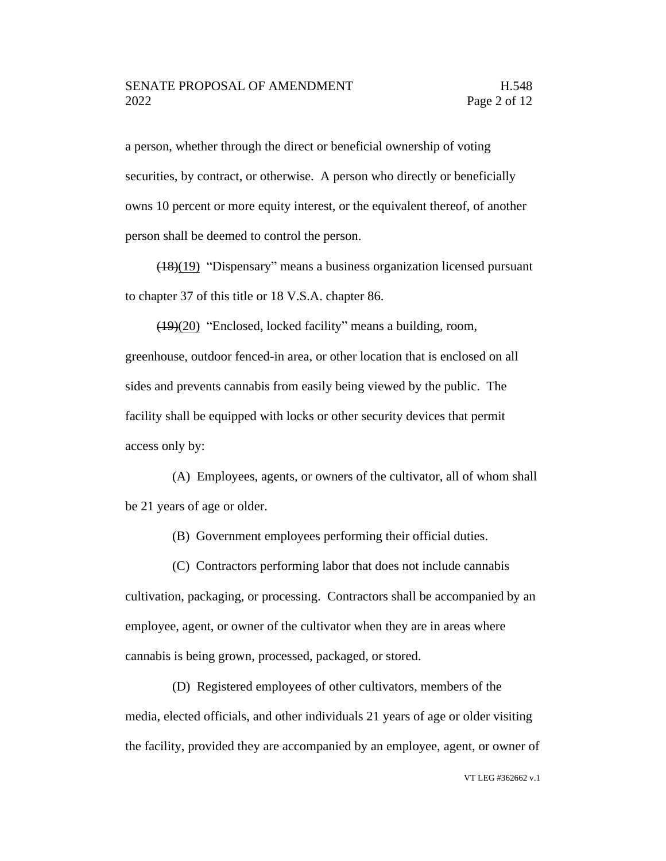a person, whether through the direct or beneficial ownership of voting securities, by contract, or otherwise. A person who directly or beneficially owns 10 percent or more equity interest, or the equivalent thereof, of another person shall be deemed to control the person.

(18)(19) "Dispensary" means a business organization licensed pursuant to chapter 37 of this title or 18 V.S.A. chapter 86.

(19)(20) "Enclosed, locked facility" means a building, room, greenhouse, outdoor fenced-in area, or other location that is enclosed on all sides and prevents cannabis from easily being viewed by the public. The facility shall be equipped with locks or other security devices that permit access only by:

(A) Employees, agents, or owners of the cultivator, all of whom shall be 21 years of age or older.

(B) Government employees performing their official duties.

(C) Contractors performing labor that does not include cannabis cultivation, packaging, or processing. Contractors shall be accompanied by an employee, agent, or owner of the cultivator when they are in areas where cannabis is being grown, processed, packaged, or stored.

(D) Registered employees of other cultivators, members of the media, elected officials, and other individuals 21 years of age or older visiting the facility, provided they are accompanied by an employee, agent, or owner of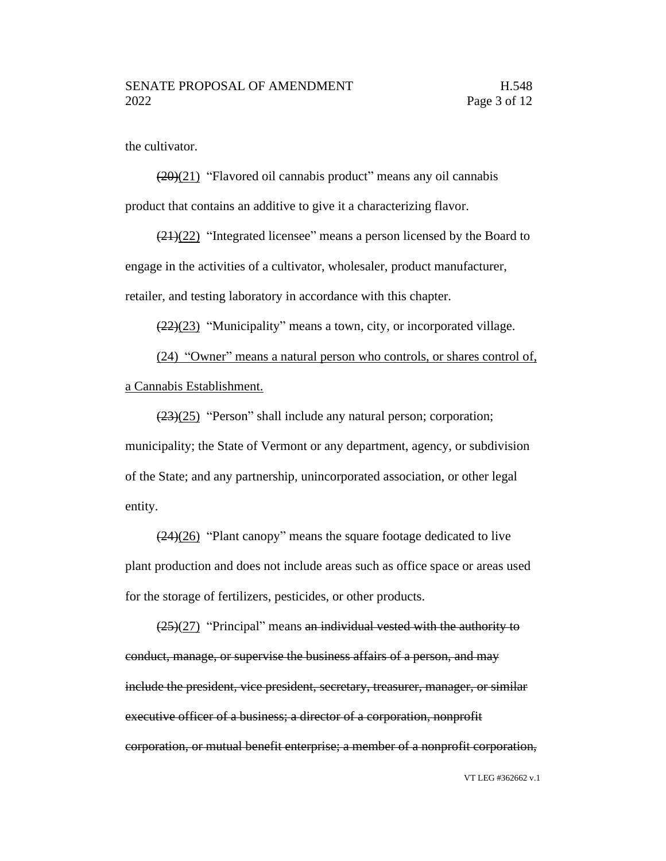the cultivator.

 $(20)(21)$  "Flavored oil cannabis product" means any oil cannabis product that contains an additive to give it a characterizing flavor.

(21)(22) "Integrated licensee" means a person licensed by the Board to engage in the activities of a cultivator, wholesaler, product manufacturer, retailer, and testing laboratory in accordance with this chapter.

 $(22)(23)$  "Municipality" means a town, city, or incorporated village.

(24) "Owner" means a natural person who controls, or shares control of, a Cannabis Establishment.

 $(23)(25)$  "Person" shall include any natural person; corporation; municipality; the State of Vermont or any department, agency, or subdivision of the State; and any partnership, unincorporated association, or other legal entity.

 $\left(\frac{(24)(26)}{24}\right)$  "Plant canopy" means the square footage dedicated to live plant production and does not include areas such as office space or areas used for the storage of fertilizers, pesticides, or other products.

 $(25)(27)$  "Principal" means an individual vested with the authority to conduct, manage, or supervise the business affairs of a person, and may include the president, vice president, secretary, treasurer, manager, or similar executive officer of a business; a director of a corporation, nonprofit corporation, or mutual benefit enterprise; a member of a nonprofit corporation,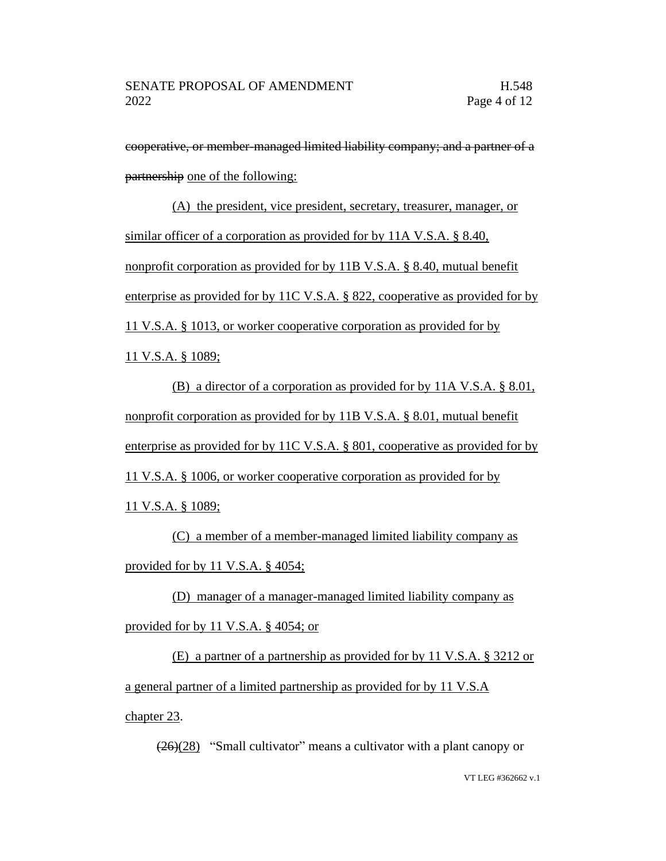cooperative, or member-managed limited liability company; and a partner of a partnership one of the following:

(A) the president, vice president, secretary, treasurer, manager, or similar officer of a corporation as provided for by 11A V.S.A. § 8.40, nonprofit corporation as provided for by 11B V.S.A. § 8.40, mutual benefit enterprise as provided for by 11C V.S.A. § 822, cooperative as provided for by 11 V.S.A. § 1013, or worker cooperative corporation as provided for by 11 V.S.A. § 1089;

(B) a director of a corporation as provided for by 11A V.S.A. § 8.01, nonprofit corporation as provided for by 11B V.S.A. § 8.01, mutual benefit enterprise as provided for by 11C V.S.A. § 801, cooperative as provided for by 11 V.S.A. § 1006, or worker cooperative corporation as provided for by 11 V.S.A. § 1089;

(C) a member of a member-managed limited liability company as provided for by 11 V.S.A. § 4054;

(D) manager of a manager-managed limited liability company as provided for by 11 V.S.A. § 4054; or

(E) a partner of a partnership as provided for by 11 V.S.A. § 3212 or a general partner of a limited partnership as provided for by 11 V.S.A chapter 23.

 $\left(\frac{(26)}{(28)}\right)$  "Small cultivator" means a cultivator with a plant canopy or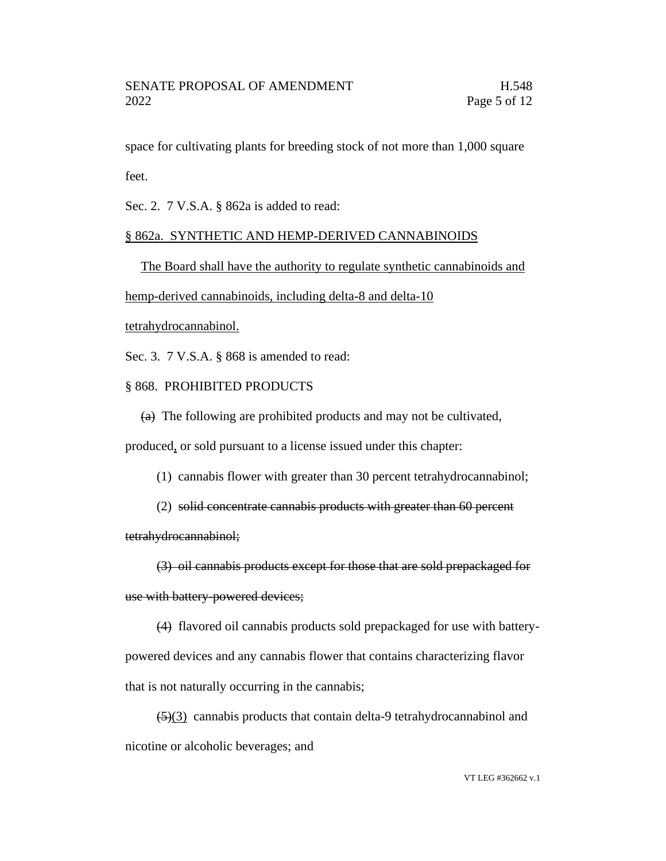space for cultivating plants for breeding stock of not more than 1,000 square feet.

Sec. 2. 7 V.S.A. § 862a is added to read:

## § 862a. SYNTHETIC AND HEMP-DERIVED CANNABINOIDS

The Board shall have the authority to regulate synthetic cannabinoids and

hemp-derived cannabinoids, including delta-8 and delta-10

tetrahydrocannabinol.

Sec. 3. 7 V.S.A. § 868 is amended to read:

## § 868. PROHIBITED PRODUCTS

 $(a)$  The following are prohibited products and may not be cultivated,

produced, or sold pursuant to a license issued under this chapter:

(1) cannabis flower with greater than 30 percent tetrahydrocannabinol;

(2) solid concentrate cannabis products with greater than 60 percent

tetrahydrocannabinol;

(3) oil cannabis products except for those that are sold prepackaged for use with battery-powered devices;

(4) flavored oil cannabis products sold prepackaged for use with batterypowered devices and any cannabis flower that contains characterizing flavor that is not naturally occurring in the cannabis;

 $\left(\frac{5}{3}\right)$  cannabis products that contain delta-9 tetrahydrocannabinol and nicotine or alcoholic beverages; and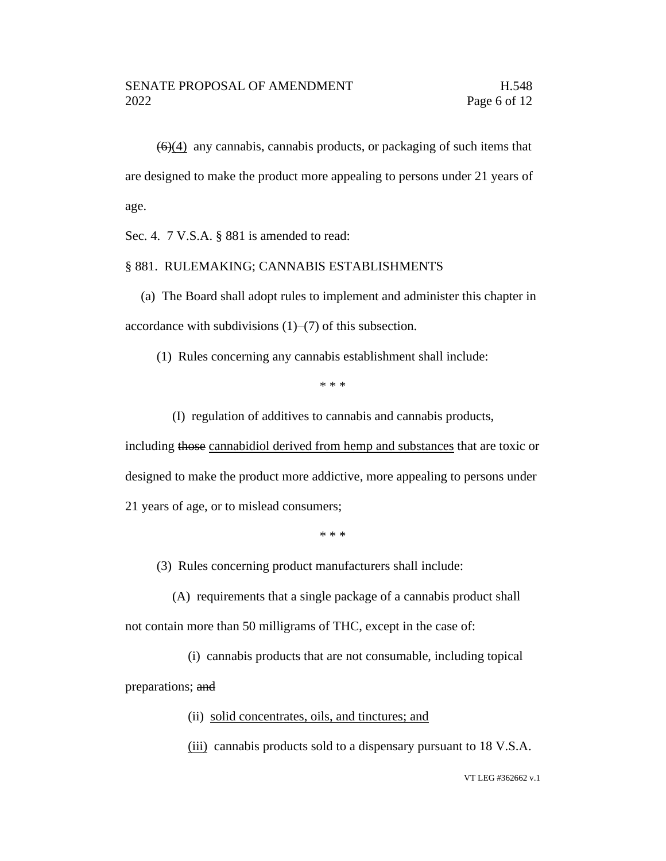$(6)(4)$  any cannabis, cannabis products, or packaging of such items that are designed to make the product more appealing to persons under 21 years of age.

Sec. 4. 7 V.S.A. § 881 is amended to read:

### § 881. RULEMAKING; CANNABIS ESTABLISHMENTS

(a) The Board shall adopt rules to implement and administer this chapter in accordance with subdivisions (1)–(7) of this subsection.

(1) Rules concerning any cannabis establishment shall include:

\* \* \*

(I) regulation of additives to cannabis and cannabis products,

including those cannabidiol derived from hemp and substances that are toxic or designed to make the product more addictive, more appealing to persons under 21 years of age, or to mislead consumers;

\* \* \*

(3) Rules concerning product manufacturers shall include:

(A) requirements that a single package of a cannabis product shall not contain more than 50 milligrams of THC, except in the case of:

(i) cannabis products that are not consumable, including topical preparations; and

(ii) solid concentrates, oils, and tinctures; and

(iii) cannabis products sold to a dispensary pursuant to 18 V.S.A.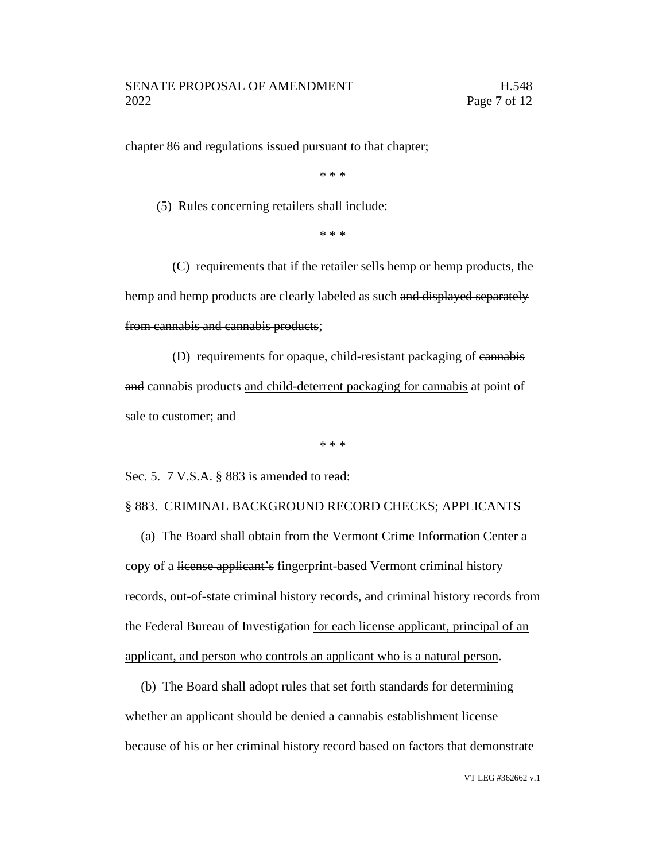chapter 86 and regulations issued pursuant to that chapter;

\* \* \*

(5) Rules concerning retailers shall include:

\* \* \*

(C) requirements that if the retailer sells hemp or hemp products, the hemp and hemp products are clearly labeled as such and displayed separately from cannabis and cannabis products;

(D) requirements for opaque, child-resistant packaging of cannabis and cannabis products and child-deterrent packaging for cannabis at point of sale to customer; and

\* \* \*

Sec. 5. 7 V.S.A. § 883 is amended to read:

§ 883. CRIMINAL BACKGROUND RECORD CHECKS; APPLICANTS

(a) The Board shall obtain from the Vermont Crime Information Center a copy of a license applicant's fingerprint-based Vermont criminal history records, out-of-state criminal history records, and criminal history records from the Federal Bureau of Investigation for each license applicant, principal of an applicant, and person who controls an applicant who is a natural person.

(b) The Board shall adopt rules that set forth standards for determining whether an applicant should be denied a cannabis establishment license because of his or her criminal history record based on factors that demonstrate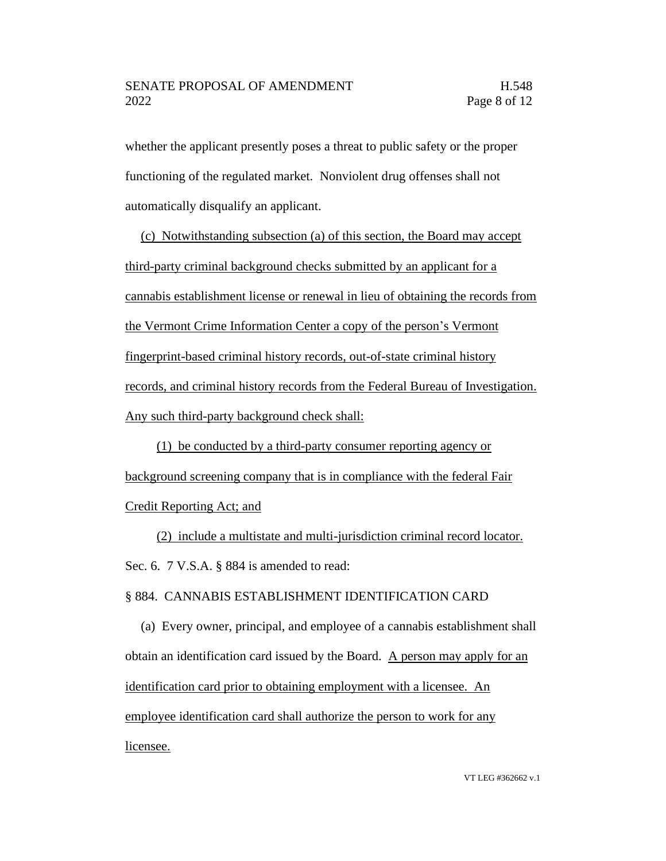whether the applicant presently poses a threat to public safety or the proper functioning of the regulated market. Nonviolent drug offenses shall not automatically disqualify an applicant.

(c) Notwithstanding subsection (a) of this section, the Board may accept third-party criminal background checks submitted by an applicant for a cannabis establishment license or renewal in lieu of obtaining the records from the Vermont Crime Information Center a copy of the person's Vermont fingerprint-based criminal history records, out-of-state criminal history records, and criminal history records from the Federal Bureau of Investigation. Any such third-party background check shall:

(1) be conducted by a third-party consumer reporting agency or background screening company that is in compliance with the federal Fair Credit Reporting Act; and

(2) include a multistate and multi-jurisdiction criminal record locator. Sec. 6. 7 V.S.A. § 884 is amended to read:

# § 884. CANNABIS ESTABLISHMENT IDENTIFICATION CARD

(a) Every owner, principal, and employee of a cannabis establishment shall obtain an identification card issued by the Board. A person may apply for an identification card prior to obtaining employment with a licensee. An employee identification card shall authorize the person to work for any licensee.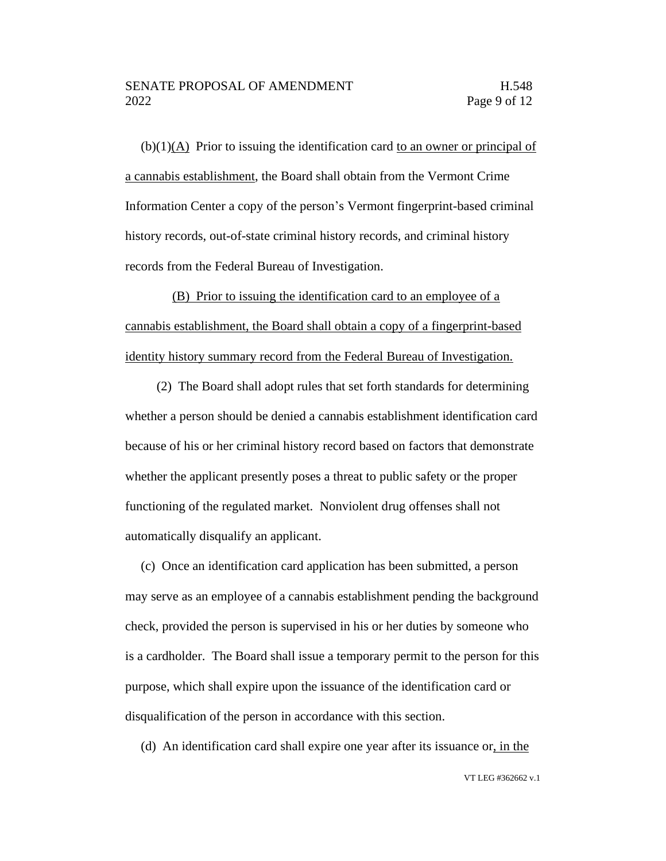## SENATE PROPOSAL OF AMENDMENT FRAMENTIES AND H.548 2022 Page 9 of 12

(b)(1)(A) Prior to issuing the identification card to an owner or principal of a cannabis establishment, the Board shall obtain from the Vermont Crime Information Center a copy of the person's Vermont fingerprint-based criminal history records, out-of-state criminal history records, and criminal history records from the Federal Bureau of Investigation.

(B) Prior to issuing the identification card to an employee of a cannabis establishment, the Board shall obtain a copy of a fingerprint-based identity history summary record from the Federal Bureau of Investigation.

(2) The Board shall adopt rules that set forth standards for determining whether a person should be denied a cannabis establishment identification card because of his or her criminal history record based on factors that demonstrate whether the applicant presently poses a threat to public safety or the proper functioning of the regulated market. Nonviolent drug offenses shall not automatically disqualify an applicant.

(c) Once an identification card application has been submitted, a person may serve as an employee of a cannabis establishment pending the background check, provided the person is supervised in his or her duties by someone who is a cardholder. The Board shall issue a temporary permit to the person for this purpose, which shall expire upon the issuance of the identification card or disqualification of the person in accordance with this section.

(d) An identification card shall expire one year after its issuance or, in the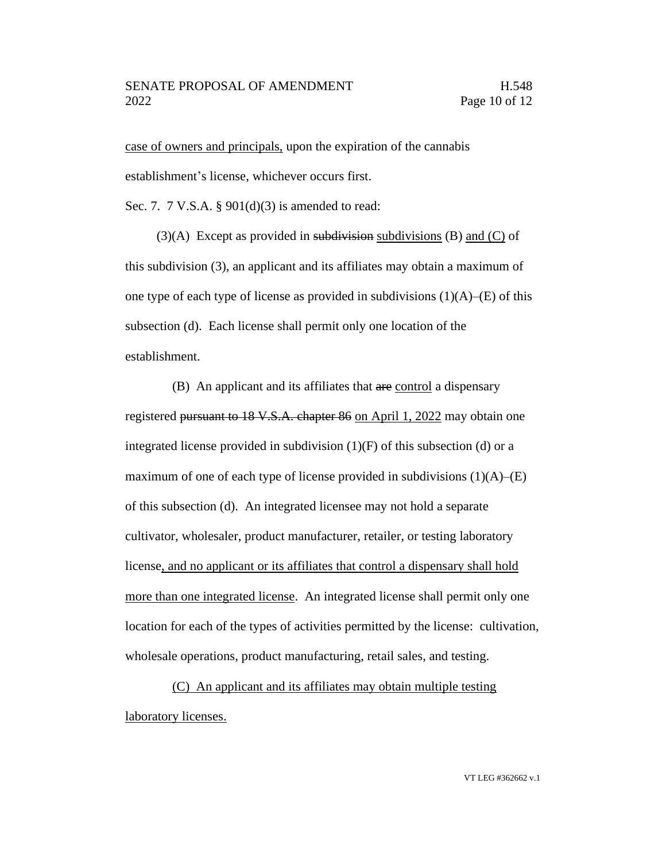## SENATE PROPOSAL OF AMENDMENT FRAMENTIES AND H.548 2022 Page 10 of 12

case of owners and principals, upon the expiration of the cannabis establishment's license, whichever occurs first.

Sec. 7. 7 V.S.A. § 901(d)(3) is amended to read:

(3)(A) Except as provided in subdivision subdivisions (B) and  $(C)$  of this subdivision (3), an applicant and its affiliates may obtain a maximum of one type of each type of license as provided in subdivisions  $(1)(A)$ –(E) of this subsection (d). Each license shall permit only one location of the establishment.

(B) An applicant and its affiliates that are control a dispensary registered pursuant to 18 V.S.A. chapter 86 on April 1, 2022 may obtain one integrated license provided in subdivision  $(1)(F)$  of this subsection (d) or a maximum of one of each type of license provided in subdivisions  $(1)(A)$ – $(E)$ of this subsection (d). An integrated licensee may not hold a separate cultivator, wholesaler, product manufacturer, retailer, or testing laboratory license, and no applicant or its affiliates that control a dispensary shall hold more than one integrated license. An integrated license shall permit only one location for each of the types of activities permitted by the license: cultivation, wholesale operations, product manufacturing, retail sales, and testing.

(C) An applicant and its affiliates may obtain multiple testing laboratory licenses.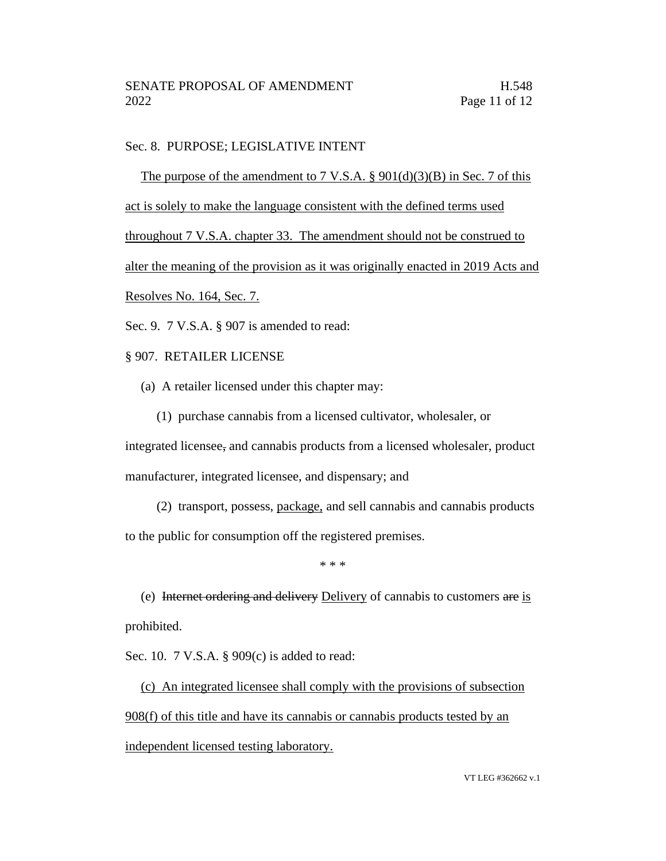## Sec. 8. PURPOSE; LEGISLATIVE INTENT

The purpose of the amendment to 7 V.S.A.  $\S$  901(d)(3)(B) in Sec. 7 of this act is solely to make the language consistent with the defined terms used throughout 7 V.S.A. chapter 33. The amendment should not be construed to alter the meaning of the provision as it was originally enacted in 2019 Acts and Resolves No. 164, Sec. 7.

Sec. 9. 7 V.S.A. § 907 is amended to read:

§ 907. RETAILER LICENSE

- (a) A retailer licensed under this chapter may:
	- (1) purchase cannabis from a licensed cultivator, wholesaler, or

integrated licensee, and cannabis products from a licensed wholesaler, product manufacturer, integrated licensee, and dispensary; and

(2) transport, possess, package, and sell cannabis and cannabis products to the public for consumption off the registered premises.

\* \* \*

(e) Internet ordering and delivery Delivery of cannabis to customers are is prohibited.

Sec. 10. 7 V.S.A. § 909(c) is added to read:

(c) An integrated licensee shall comply with the provisions of subsection 908(f) of this title and have its cannabis or cannabis products tested by an independent licensed testing laboratory.